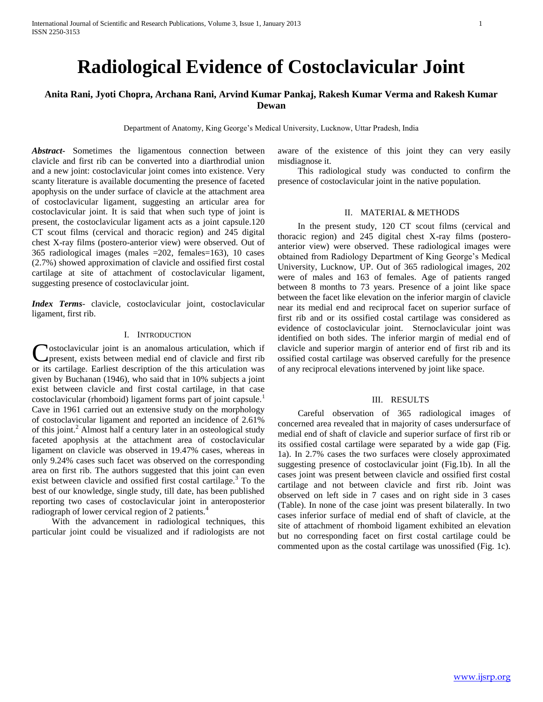# **Radiological Evidence of Costoclavicular Joint**

# **Anita Rani, Jyoti Chopra, Archana Rani, Arvind Kumar Pankaj, Rakesh Kumar Verma and Rakesh Kumar Dewan**

Department of Anatomy, King George's Medical University, Lucknow, Uttar Pradesh, India

*Abstract***-** Sometimes the ligamentous connection between clavicle and first rib can be converted into a diarthrodial union and a new joint: costoclavicular joint comes into existence. Very scanty literature is available documenting the presence of faceted apophysis on the under surface of clavicle at the attachment area of costoclavicular ligament, suggesting an articular area for costoclavicular joint. It is said that when such type of joint is present, the costoclavicular ligament acts as a joint capsule.120 CT scout films (cervical and thoracic region) and 245 digital chest X-ray films (postero-anterior view) were observed. Out of 365 radiological images (males =202, females=163), 10 cases (2.7%) showed approximation of clavicle and ossified first costal cartilage at site of attachment of costoclavicular ligament, suggesting presence of costoclavicular joint.

*Index Terms*- clavicle, costoclavicular joint, costoclavicular ligament, first rib.

### I. INTRODUCTION

ostoclavicular joint is an anomalous articulation, which if Costoclavicular joint is an anomalous articulation, which if<br>
present, exists between medial end of clavicle and first rib or its cartilage. Earliest description of the this articulation was given by Buchanan (1946), who said that in 10% subjects a joint exist between clavicle and first costal cartilage, in that case costoclavicular (rhomboid) ligament forms part of joint capsule.<sup>1</sup> Cave in 1961 carried out an extensive study on the morphology of costoclavicular ligament and reported an incidence of 2.61% of this joint.<sup>2</sup> Almost half a century later in an osteological study faceted apophysis at the attachment area of costoclavicular ligament on clavicle was observed in 19.47% cases, whereas in only 9.24% cases such facet was observed on the corresponding area on first rib. The authors suggested that this joint can even exist between clavicle and ossified first costal cartilage.<sup>3</sup> To the best of our knowledge, single study, till date, has been published reporting two cases of costoclavicular joint in anteroposterior radiograph of lower cervical region of 2 patients.<sup>4</sup>

 With the advancement in radiological techniques, this particular joint could be visualized and if radiologists are not aware of the existence of this joint they can very easily misdiagnose it.

 This radiological study was conducted to confirm the presence of costoclavicular joint in the native population.

#### II. MATERIAL & METHODS

 In the present study, 120 CT scout films (cervical and thoracic region) and 245 digital chest X-ray films (posteroanterior view) were observed. These radiological images were obtained from Radiology Department of King George's Medical University, Lucknow, UP. Out of 365 radiological images, 202 were of males and 163 of females. Age of patients ranged between 8 months to 73 years. Presence of a joint like space between the facet like elevation on the inferior margin of clavicle near its medial end and reciprocal facet on superior surface of first rib and or its ossified costal cartilage was considered as evidence of costoclavicular joint. Sternoclavicular joint was identified on both sides. The inferior margin of medial end of clavicle and superior margin of anterior end of first rib and its ossified costal cartilage was observed carefully for the presence of any reciprocal elevations intervened by joint like space.

## III. RESULTS

 Careful observation of 365 radiological images of concerned area revealed that in majority of cases undersurface of medial end of shaft of clavicle and superior surface of first rib or its ossified costal cartilage were separated by a wide gap (Fig. 1a). In 2.7% cases the two surfaces were closely approximated suggesting presence of costoclavicular joint (Fig.1b). In all the cases joint was present between clavicle and ossified first costal cartilage and not between clavicle and first rib. Joint was observed on left side in 7 cases and on right side in 3 cases (Table). In none of the case joint was present bilaterally. In two cases inferior surface of medial end of shaft of clavicle, at the site of attachment of rhomboid ligament exhibited an elevation but no corresponding facet on first costal cartilage could be commented upon as the costal cartilage was unossified (Fig. 1c).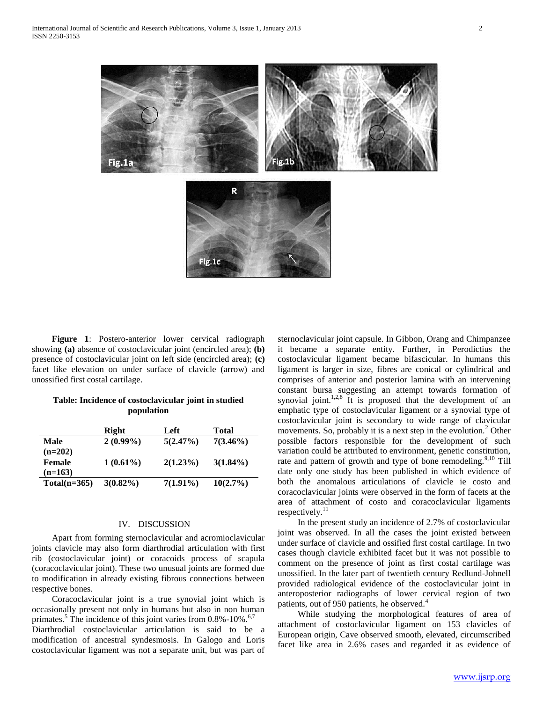

 **Figure 1**: Postero-anterior lower cervical radiograph showing **(a)** absence of costoclavicular joint (encircled area); **(b)** presence of costoclavicular joint on left side (encircled area); **(c)** facet like elevation on under surface of clavicle (arrow) and unossified first costal cartilage.

## **Table: Incidence of costoclavicular joint in studied population**

|                | Right       | Left        | Total       |
|----------------|-------------|-------------|-------------|
| Male           | $2(0.99\%)$ | 5(2.47%)    | $7(3.46\%)$ |
| $(n=202)$      |             |             |             |
| Female         | $1(0.61\%)$ | $2(1.23\%)$ | $3(1.84\%)$ |
| $(n=163)$      |             |             |             |
| $Total(n=365)$ | $3(0.82\%)$ | $7(1.91\%)$ | $10(2.7\%)$ |
|                |             |             |             |

#### IV. DISCUSSION

 Apart from forming sternoclavicular and acromioclavicular joints clavicle may also form diarthrodial articulation with first rib (costoclavicular joint) or coracoids process of scapula (coracoclavicular joint). These two unusual joints are formed due to modification in already existing fibrous connections between respective bones.

 Coracoclavicular joint is a true synovial joint which is occasionally present not only in humans but also in non human primates. $5$  The incidence of this joint varies from 0.8%-10%.<sup>6,7</sup> Diarthrodial costoclavicular articulation is said to be a modification of ancestral syndesmosis. In Galogo and Loris costoclavicular ligament was not a separate unit, but was part of

sternoclavicular joint capsule. In Gibbon, Orang and Chimpanzee it became a separate entity. Further, in Perodictius the costoclavicular ligament became bifascicular. In humans this ligament is larger in size, fibres are conical or cylindrical and comprises of anterior and posterior lamina with an intervening constant bursa suggesting an attempt towards formation of synovial joint.<sup>1,2,8</sup> It is proposed that the development of an emphatic type of costoclavicular ligament or a synovial type of costoclavicular joint is secondary to wide range of clavicular movements. So, probably it is a next step in the evolution.<sup>2</sup> Other possible factors responsible for the development of such variation could be attributed to environment, genetic constitution, rate and pattern of growth and type of bone remodeling.<sup>9,10</sup> Till date only one study has been published in which evidence of both the anomalous articulations of clavicle ie costo and coracoclavicular joints were observed in the form of facets at the area of attachment of costo and coracoclavicular ligaments respectively.<sup>11</sup>

 In the present study an incidence of 2.7% of costoclavicular joint was observed. In all the cases the joint existed between under surface of clavicle and ossified first costal cartilage. In two cases though clavicle exhibited facet but it was not possible to comment on the presence of joint as first costal cartilage was unossified. In the later part of twentieth century Redlund-Johnell provided radiological evidence of the costoclavicular joint in anteroposterior radiographs of lower cervical region of two patients, out of 950 patients, he observed.<sup>4</sup>

 While studying the morphological features of area of attachment of costoclavicular ligament on 153 clavicles of European origin, Cave observed smooth, elevated, circumscribed facet like area in 2.6% cases and regarded it as evidence of